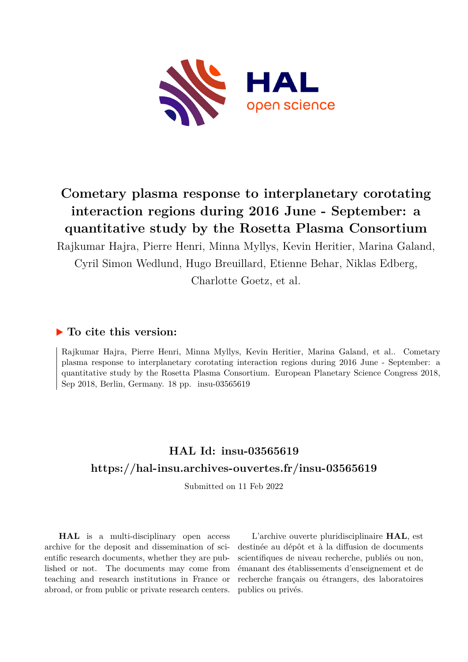

# **Cometary plasma response to interplanetary corotating interaction regions during 2016 June - September: a quantitative study by the Rosetta Plasma Consortium**

Rajkumar Hajra, Pierre Henri, Minna Myllys, Kevin Heritier, Marina Galand, Cyril Simon Wedlund, Hugo Breuillard, Etienne Behar, Niklas Edberg,

Charlotte Goetz, et al.

### **To cite this version:**

Rajkumar Hajra, Pierre Henri, Minna Myllys, Kevin Heritier, Marina Galand, et al.. Cometary plasma response to interplanetary corotating interaction regions during 2016 June - September: a quantitative study by the Rosetta Plasma Consortium. European Planetary Science Congress 2018, Sep 2018, Berlin, Germany.  $18$  pp. insu-03565619

## **HAL Id: insu-03565619 <https://hal-insu.archives-ouvertes.fr/insu-03565619>**

Submitted on 11 Feb 2022

**HAL** is a multi-disciplinary open access archive for the deposit and dissemination of scientific research documents, whether they are published or not. The documents may come from teaching and research institutions in France or abroad, or from public or private research centers.

L'archive ouverte pluridisciplinaire **HAL**, est destinée au dépôt et à la diffusion de documents scientifiques de niveau recherche, publiés ou non, émanant des établissements d'enseignement et de recherche français ou étrangers, des laboratoires publics ou privés.